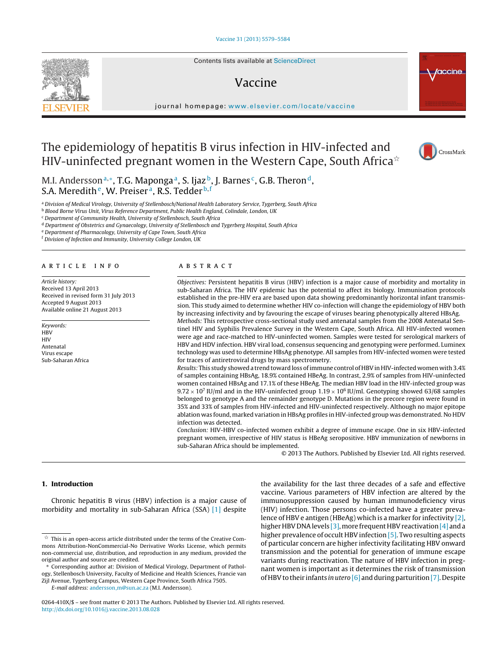Contents lists available at [ScienceDirect](http://www.sciencedirect.com/science/journal/0264410X)

# Vaccine

journal homepage: [www.elsevier.com/locate/vaccine](http://www.elsevier.com/locate/vaccine)

# The epidemiology of hepatitis B virus infection in HIV-infected and HIV-uninfected pregnant women in the Western Cape, South Africa $^{\star}$



**/accine** 

M.I. Andersson<sup>a,\*</sup>, T.G. Maponga<sup>a</sup>, S. Ijaz<sup>b</sup>, J. Barnes<sup>c</sup>, G.B. Theron<sup>d</sup>, S.A. Meredith<sup>e</sup>, W. Preiser<sup>a</sup>, R.S. Tedder<sup>b,f</sup>

<sup>a</sup> Division of Medical Virology, University of Stellenbosch/National Health Laboratory Service, Tygerberg, South Africa

**b Blood Borne Virus Unit, Virus Reference Department, Public Health England, Colindale, London, UK** 

<sup>c</sup> Department of Community Health, University of Stellenbosch, South Africa

<sup>d</sup> Department of Obstetrics and Gynaecology, University of Stellenbosch and Tygerberg Hospital, South Africa

<sup>e</sup> Department of Pharmacology, University of Cape Town, South Africa

<sup>f</sup> Division of Infection and Immunity, University College London, UK

#### A R T I C L E I N F O

Article history: Received 13 April 2013 Received in revised form 31 July 2013 Accepted 9 August 2013 Available online 21 August 2013

Keywords: **HBV** HIV Antenatal Virus escape Sub-Saharan Africa

#### a b s t r a c t

Objectives: Persistent hepatitis B virus (HBV) infection is a major cause of morbidity and mortality in sub-Saharan Africa. The HIV epidemic has the potential to affect its biology. Immunisation protocols established in the pre-HIV era are based upon data showing predominantly horizontal infant transmission. This study aimed to determine whether HIV co-infection will change the epidemiology of HBV both by increasing infectivity and by favouring the escape of viruses bearing phenotypically altered HBsAg. Methods: This retrospective cross-sectional study used antenatal samples from the 2008 Antenatal Sen-

tinel HIV and Syphilis Prevalence Survey in the Western Cape, South Africa. All HIV-infected women were age and race-matched to HIV-uninfected women. Samples were tested for serological markers of HBV and HDV infection. HBV viral load, consensus sequencing and genotyping were performed. Luminex technology was used to determine HBsAg phenotype. All samples from HIV-infected women were tested for traces of antiretroviral drugs by mass spectrometry.

Results: This study showed a trend toward loss of immune control of HBV in HIV-infected women with 3.4% of samples containing HBsAg, 18.9% contained HBeAg. In contrast, 2.9% of samples from HIV-uninfected women contained HBsAg and 17.1% of these HBeAg. The median HBV load in the HIV-infected group was  $9.72 \times 10^7$  IU/ml and in the HIV-uninfected group  $1.19 \times 10^6$  IU/ml. Genotyping showed 63/68 samples belonged to genotype A and the remainder genotype D. Mutations in the precore region were found in 35% and 33% of samples from HIV-infected and HIV-uninfected respectively. Although no major epitope ablation was found, marked variation in HBsAg profiles in HIV-infected group was demonstrated. No HDV infection was detected.

Conclusion: HIV-HBV co-infected women exhibit a degree of immune escape. One in six HBV-infected pregnant women, irrespective of HIV status is HBeAg seropositive. HBV immunization of newborns in sub-Saharan Africa should be implemented.

© 2013 The Authors. Published by Elsevier Ltd. All rights reserved.

## **1. Introduction**

Chronic hepatitis B virus (HBV) infection is a major cause of morbidity and mortality in sub-Saharan Africa (SSA) [\[1\]](#page-5-0) despite

Zijl Avenue, Tygerberg Campus, Western Cape Province, South Africa 7505. E-mail address: andersson [m@sun.ac.za](mailto:andersson_m@sun.ac.za) (M.I. Andersson).

the availability for the last three decades of a safe and effective vaccine. Various parameters of HBV infection are altered by the immunosuppression caused by human immunodeficiency virus (HIV) infection. Those persons co-infected have a greater prevalence of HBV e antigen (HBeAg) which is a marker for infectivity [\[2\],](#page-5-0) higher HBV DNA levels  $[3]$ , more frequent HBV reactivation  $[4]$  and a higher prevalence of occult HBV infection [\[5\].](#page-5-0) Two resulting aspects of particular concern are higher infectivity facilitating HBV onward transmission and the potential for generation of immune escape variants during reactivation. The nature of HBV infection in pregnant women is important as it determines the risk of transmission of HBV to their infants in utero  $[6]$  and during parturition  $[7]$ . Despite



 $\mathrm{\acute{e}t}$  This is an open-access article distributed under the terms of the Creative Commons Attribution-NonCommercial-No Derivative Works License, which permits non-commercial use, distribution, and reproduction in any medium, provided the original author and source are credited.

<sup>∗</sup> Corresponding author at: Division of Medical Virology, Department of Pathology, Stellenbosch University, Faculty of Medicine and Health Sciences, Francie van

<sup>0264-410</sup>X/\$ – see front matter © 2013 The Authors. Published by Elsevier Ltd. All rights reserved. [http://dx.doi.org/10.1016/j.vaccine.2013.08.028](dx.doi.org/10.1016/j.vaccine.2013.08.028)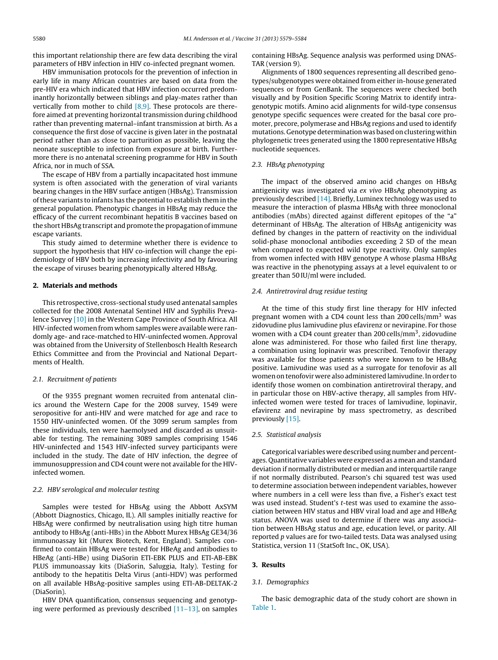this important relationship there are few data describing the viral parameters of HBV infection in HIV co-infected pregnant women.

HBV immunisation protocols for the prevention of infection in early life in many African countries are based on data from the pre-HIV era which indicated that HBV infection occurred predominantly horizontally between siblings and play-mates rather than vertically from mother to child  $[8,9]$ . These protocols are therefore aimed at preventing horizontal transmission during childhood rather than preventing maternal–infant transmission at birth. As a consequence the first dose of vaccine is given later in the postnatal period rather than as close to parturition as possible, leaving the neonate susceptible to infection from exposure at birth. Furthermore there is no antenatal screening programme for HBV in South Africa, nor in much of SSA.

The escape of HBV from a partially incapacitated host immune system is often associated with the generation of viral variants bearing changes in the HBV surface antigen (HBsAg). Transmission of these variants to infants has the potential to establish them in the general population. Phenotypic changes in HBsAg may reduce the efficacy of the current recombinant hepatitis B vaccines based on the short HBsAg transcript and promote the propagation of immune escape variants.

This study aimed to determine whether there is evidence to support the hypothesis that HIV co-infection will change the epidemiology of HBV both by increasing infectivity and by favouring the escape of viruses bearing phenotypically altered HBsAg.

## **2. Materials and methods**

This retrospective, cross-sectional study used antenatal samples collected for the 2008 Antenatal Sentinel HIV and Syphilis Prevalence Survey [\[10\]](#page-5-0) in the Western Cape Province of South Africa. All HIV-infected women from whom samples were available were randomly age- and race-matched to HIV-uninfected women. Approval was obtained from the University of Stellenbosch Health Research Ethics Committee and from the Provincial and National Departments of Health.

#### 2.1. Recruitment of patients

Of the 9355 pregnant women recruited from antenatal clinics around the Western Cape for the 2008 survey, 1549 were seropositive for anti-HIV and were matched for age and race to 1550 HIV-uninfected women. Of the 3099 serum samples from these individuals, ten were haemolysed and discarded as unsuitable for testing. The remaining 3089 samples comprising 1546 HIV-uninfected and 1543 HIV-infected survey participants were included in the study. The date of HIV infection, the degree of immunosuppression and CD4 count were not available for the HIVinfected women.

# 2.2. HBV serological and molecular testing

Samples were tested for HBsAg using the Abbott AxSYM (Abbott Diagnostics, Chicago, IL). All samples initially reactive for HBsAg were confirmed by neutralisation using high titre human antibody to HBsAg (anti-HBs) in the Abbott Murex HBsAg GE34/36 immunoassay kit (Murex Biotech, Kent, England). Samples confirmed to contain HBsAg were tested for HBeAg and antibodies to HBeAg (anti-HBe) using DiaSorin ETI-EBK PLUS and ETI-AB-EBK PLUS immunoassay kits (DiaSorin, Saluggia, Italy). Testing for antibody to the hepatitis Delta Virus (anti-HDV) was performed on all available HBsAg-positive samples using ETI-AB-DELTAK-2 (DiaSorin).

HBV DNA quantification, consensus sequencing and genotyping were performed as previously described [\[11–13\],](#page-5-0) on samples containing HBsAg. Sequence analysis was performed using DNAS-TAR (version 9).

Alignments of 1800 sequences representing all described genotypes/subgenotypes were obtained from either in-house generated sequences or from GenBank. The sequences were checked both visually and by Position Specific Scoring Matrix to identify intragenotypic motifs. Amino acid alignments for wild-type consensus genotype specific sequences were created for the basal core promoter, precore, polymerase and HBsAg regions and used to identify mutations. Genotype determination was based on clustering within phylogenetic trees generated using the 1800 representative HBsAg nucleotide sequences.

## 2.3. HBsAg phenotyping

The impact of the observed amino acid changes on HBsAg antigenicity was investigated via ex vivo HBsAg phenotyping as previously described [\[14\].](#page-5-0) Briefly, Luminex technology was used to measure the interaction of plasma HBsAg with three monoclonal antibodies (mAbs) directed against different epitopes of the "a" determinant of HBsAg. The alteration of HBsAg antigenicity was defined by changes in the pattern of reactivity on the individual solid-phase monoclonal antibodies exceeding 2 SD of the mean when compared to expected wild type reactivity. Only samples from women infected with HBV genotype A whose plasma HBsAg was reactive in the phenotyping assays at a level equivalent to or greater than 50 IU/ml were included.

## 2.4. Antiretroviral drug residue testing

At the time of this study first line therapy for HIV infected pregnant women with a CD4 count less than 200 cells/ $\text{mm}^3$  was zidovudine plus lamivudine plus efavirenz or nevirapine. For those women with a CD4 count greater than 200 cells/ $\text{mm}^3$ , zidovudine alone was administered. For those who failed first line therapy, a combination using lopinavir was prescribed. Tenofovir therapy was available for those patients who were known to be HBsAg positive. Lamivudine was used as a surrogate for tenofovir as all women on tenofovir were also administered lamivudine. In order to identify those women on combination antiretroviral therapy, and in particular those on HBV-active therapy, all samples from HIVinfected women were tested for traces of lamivudine, lopinavir, efavirenz and nevirapine by mass spectrometry, as described previously [\[15\].](#page-5-0)

#### 2.5. Statistical analysis

Categorical variables were described using number and percentages. Quantitative variables were expressed as a mean and standard deviation if normally distributed or median and interquartile range if not normally distributed. Pearson's chi squared test was used to determine association between independent variables, however where numbers in a cell were less than five, a Fisher's exact test was used instead. Student's t-test was used to examine the association between HIV status and HBV viral load and age and HBeAg status. ANOVA was used to determine if there was any association between HBsAg status and age, education level, or parity. All reported p values are for two-tailed tests. Data was analysed using Statistica, version 11 (StatSoft Inc., OK, USA).

# **3. Results**

#### 3.1. Demographics

The basic demographic data of the study cohort are shown in [Table](#page-2-0) 1.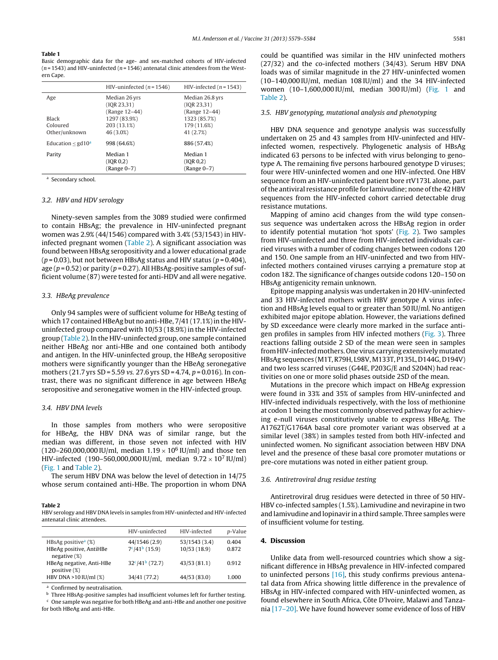Table 2).

<span id="page-2-0"></span>**Table 1** Basic demographic data for the age- and sex-matched cohorts of HIV-infected  $(n = 1543)$  and HIV-uninfected  $(n = 1546)$  antenatal clinic attendees from the Western Cape.

|                                    | HIV-uninfected $(n = 1546)$                               | HIV-infected $(n = 1543)$                                 |
|------------------------------------|-----------------------------------------------------------|-----------------------------------------------------------|
| Age                                | Median 26 yrs<br>(IOR 23, 31)                             | Median 26.8 yrs<br>(IOR 23, 31)                           |
| Black<br>Coloured<br>Other/unknown | (Range 12-44)<br>1297 (83.9%)<br>203 (13.1%)<br>46 (3.0%) | (Range 12–44)<br>1323 (85.7%)<br>179 (11.6%)<br>41 (2.7%) |
| Education $\le$ gd10 <sup>a</sup>  | 998 (64.6%)                                               | 886 (57.4%)                                               |
| Parity                             | Median 1<br>(IOR 0,2)<br>(Range 0–7)                      | Median 1<br>(IOR 0,2)<br>(Range 0–7)                      |

<sup>a</sup> Secondary school.

# 3.2. HBV and HDV serology

Ninety-seven samples from the 3089 studied were confirmed to contain HBsAg; the prevalence in HIV-uninfected pregnant women was 2.9% (44/1546) compared with 3.4% (53/1543) in HIVinfected pregnant women (Table 2). A significant association was found between HBsAg seropositivity and a lower educational grade  $(p = 0.03)$ , but not between HBsAg status and HIV status  $(p = 0.404)$ , age ( $p = 0.52$ ) or parity ( $p = 0.27$ ). All HBsAg-positive samples of sufficient volume (87) were tested for anti-HDV and all were negative.

## 3.3. HBeAg prevalence

Only 94 samples were of sufficient volume for HBeAg testing of which 17 contained HBeAg but no anti-HBe, 7/41 (17.1%) in the HIVuninfected group compared with 10/53 (18.9%) in the HIV-infected group (Table 2). In the HIV-uninfected group, one sample contained neither HBeAg nor anti-HBe and one contained both antibody and antigen. In the HIV-uninfected group, the HBeAg seropositive mothers were significantly younger than the HBeAg seronegative mothers (21.7 yrs SD = 5.59 vs. 27.6 yrs SD = 4.74, p = 0.016). In contrast, there was no significant difference in age between HBeAg seropositive and seronegative women in the HIV-infected group.

#### 3.4. HBV DNA levels

In those samples from mothers who were seropositive for HBeAg, the HBV DNA was of similar range, but the median was different, in those seven not infected with HIV (120–260,000,000 IU/ml, median  $1.19 \times 10^6$  IU/ml) and those ten HIV-infected (190–560,000,000 IU/ml, median  $9.72 \times 10^7$  IU/ml) ([Fig.](#page-3-0) 1 and Table 2).

The serum HBV DNA was below the level of detection in 14/75 whose serum contained anti-HBe. The proportion in whom DNA

#### **Table 2**

HBV serology and HBV DNA levels in samples from HIV-uninfected and HIV-infected antenatal clinic attendees.

|                                                                                  | HIV-uninfected                         | HIV-infected                 | p-Value        |
|----------------------------------------------------------------------------------|----------------------------------------|------------------------------|----------------|
| HBsAg positive <sup>a</sup> $(\%)$<br>HBeAg positive, AntiHBe<br>$negative (\%)$ | 44/1546 (2.9)<br>$7^{c}/41^{b}$ (15.9) | 53/1543 (3.4)<br>10/53(18.9) | 0.404<br>0.872 |
| HBeAg negative, Anti-HBe<br>positive (%)                                         | $32^{c}/41^{b}$ (72.7)                 | 43/53(81.1)                  | 0.912          |
| HBV DNA > $10$ IU/ml $(\%)$                                                      | 34/41 (77.2)                           | 44/53 (83.0)                 | 1.000          |

<sup>a</sup> Confirmed by neutralisation.

**b** Three HBsAg-positive samples had insufficient volumes left for further testing.

 $c$  One sample was negative for both HBeAg and anti-HBe and another one positive for both HBeAg and anti-HBe.

# 3.5. HBV genotyping, mutational analysis and phenotyping

HBV DNA sequence and genotype analysis was successfully undertaken on 25 and 43 samples from HIV-uninfected and HIVinfected women, respectively. Phylogenetic analysis of HBsAg indicated 63 persons to be infected with virus belonging to genotype A. The remaining five persons harboured genotype D viruses; four were HIV-uninfected women and one HIV-infected. One HBV sequence from an HIV-uninfected patient bore rtV173L alone, part of the antiviral resistance profile for lamivudine; none of the 42 HBV sequences from the HIV-infected cohort carried detectable drug resistance mutations.

(10–140,000 IU/ml, median 108 IU/ml) and the 34 HIV-infected women (10–1,600,000 IU/ml, median 300 IU/ml) ([Fig.](#page-3-0) 1 and

Mapping of amino acid changes from the wild type consensus sequence was undertaken across the HBsAg region in order to identify potential mutation 'hot spots' ([Fig.](#page-3-0) 2). Two samples from HIV-uninfected and three from HIV-infected individuals carried viruses with a number of coding changes between codons 120 and 150. One sample from an HIV-uninfected and two from HIVinfected mothers contained viruses carrying a premature stop at codon 182. The significance of changes outside codons 120–150 on HBsAg antigenicity remain unknown.

Epitope mapping analysis was undertaken in 20 HIV-uninfected and 33 HIV-infected mothers with HBV genotype A virus infection and HBsAg levels equal to or greater than 50 IU/ml. No antigen exhibited major epitope ablation. However, the variations defined by SD exceedance were clearly more marked in the surface antigen profiles in samples from HIV infected mothers ([Fig.](#page-4-0) 3). Three reactions falling outside 2 SD of the mean were seen in samples from HIV-infected mothers. One virus carrying extensively mutated HBsAg sequences (M1T, R79H, L98V, M133T, P135L, D144G, D194V) and two less scarred viruses (G44E, P203G/E and S204N) had reactivities on one or more solid phases outside 2SD of the mean.

Mutations in the precore which impact on HBeAg expression were found in 33% and 35% of samples from HIV-uninfected and HIV-infected individuals respectively, with the loss of methionine at codon 1 being the most commonly observed pathway for achieving e-null viruses constitutively unable to express HBeAg. The A1762T/G1764A basal core promoter variant was observed at a similar level (38%) in samples tested from both HIV-infected and uninfected women. No significant association between HBV DNA level and the presence of these basal core promoter mutations or pre-core mutations was noted in either patient group.

#### 3.6. Antiretroviral drug residue testing

Antiretroviral drug residues were detected in three of 50 HIV-HBV co-infected samples (1.5%). Lamivudine and nevirapine in two and lamivudine and lopinavir in a third sample. Three samples were of insufficient volume for testing.

## **4. Discussion**

Unlike data from well-resourced countries which show a significant difference in HBsAg prevalence in HIV-infected compared to uninfected persons  $[16]$ , this study confirms previous antenatal data from Africa showing little difference in the prevalence of HBsAg in HIV-infected compared with HIV-uninfected women, as found elsewhere in South Africa, Côte D'Ivoire, Malawi and Tanzania [\[17–20\].](#page-5-0) We have found however some evidence of loss of HBV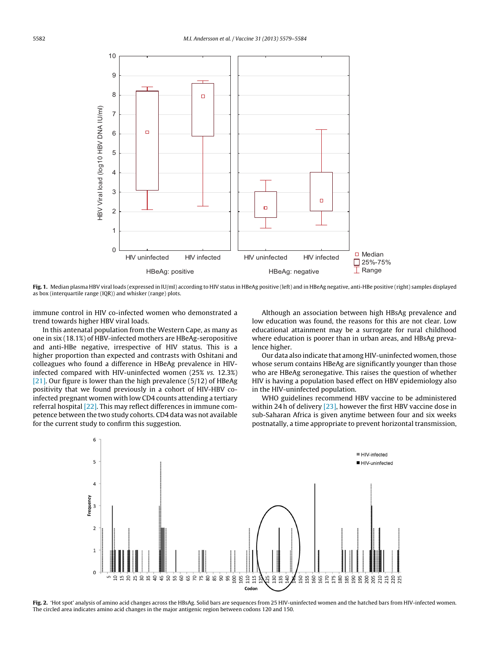<span id="page-3-0"></span>

Fig. 1. Median plasma HBV viral loads (expressed in IU/ml) according to HIV status in HBeAg positive (left) and in HBeAg negative, anti-HBe positive (right) samples displayed as box (interquartile range (IQR)) and whisker (range) plots.

immune control in HIV co-infected women who demonstrated a trend towards higher HBV viral loads.

In this antenatal population from the Western Cape, as many as one in six (18.1%) of HBV-infected mothers are HBeAg-seropositive and anti-HBe negative, irrespective of HIV status. This is a higher proportion than expected and contrasts with Oshitani and colleagues who found a difference in HBeAg prevalence in HIVinfected compared with HIV-uninfected women (25% vs. 12.3%) [\[21\].](#page-5-0) Our figure is lower than the high prevalence (5/12) of HBeAg positivity that we found previously in a cohort of HIV-HBV coinfected pregnant women with low CD4 counts attending a tertiary referral hospital [\[22\].](#page-5-0) This may reflect differences in immune competence between the two study cohorts. CD4 data was not available for the current study to confirm this suggestion.

Although an association between high HBsAg prevalence and low education was found, the reasons for this are not clear. Low educational attainment may be a surrogate for rural childhood where education is poorer than in urban areas, and HBsAg prevalence higher.

Our data also indicate that among HIV-uninfected women, those whose serum contains HBeAg are significantly younger than those who are HBeAg seronegative. This raises the question of whether HIV is having a population based effect on HBV epidemiology also in the HIV-uninfected population.

WHO guidelines recommend HBV vaccine to be administered within 24 h of delivery  $[23]$ , however the first HBV vaccine dose in sub-Saharan Africa is given anytime between four and six weeks postnatally, a time appropriate to prevent horizontal transmission,



**Fig. 2.** 'Hot spot' analysis of amino acid changes across the HBsAg. Solid bars are sequences from 25 HIV-uninfected women and the hatched bars from HIV-infected women. The circled area indicates amino acid changes in the major antigenic region between codons 120 and 150.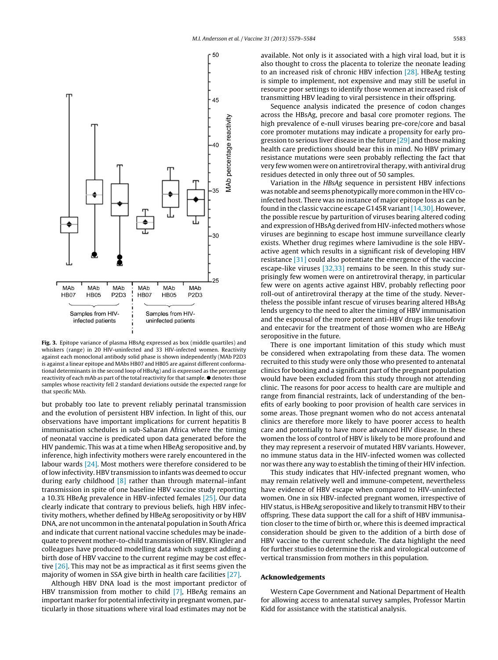<span id="page-4-0"></span>

**Fig. 3.** Epitope variance of plasma HBsAg expressed as box (middle quartiles) and whiskers (range) in 20 HIV-uninfected and 33 HIV-infected women. Reactivity against each monoclonal antibody solid phase is shown independently (MAb P2D3 is against a linear epitope and MAbs HB07 and HB05 are against different conformational determinants in the second loop of HBsAg) and is expressed as the percentage reactivity of each mAb as part of the total reactivity for that sample.  $\bullet$  denotes those samples whose reactivity fell 2 standard deviations outside the expected range for that specific MAb.

but probably too late to prevent reliably perinatal transmission and the evolution of persistent HBV infection. In light of this, our observations have important implications for current hepatitis B immunisation schedules in sub-Saharan Africa where the timing of neonatal vaccine is predicated upon data generated before the HIV pandemic. This was at a time when HBeAg seropositive and, by inference, high infectivity mothers were rarely encountered in the labour wards [\[24\].](#page-5-0) Most mothers were therefore considered to be of low infectivity. HBV transmission to infants was deemed to occur during early childhood [\[8\]](#page-5-0) rather than through maternal–infant transmission in spite of one baseline HBV vaccine study reporting a 10.3% HBeAg prevalence in HBV-infected females [\[25\].](#page-5-0) Our data clearly indicate that contrary to previous beliefs, high HBV infectivity mothers, whether defined by HBeAg seropositivity or by HBV DNA, are not uncommon in the antenatal population in South Africa and indicate that current national vaccine schedules may be inadequate to prevent mother-to-child transmission of HBV. Klingler and colleagues have produced modelling data which suggest adding a birth dose of HBV vaccine to the current regime may be cost effective [\[26\].](#page-5-0) This may not be as impractical as it first seems given the majority of women in SSA give birth in health care facilities [\[27\].](#page-5-0)

Although HBV DNA load is the most important predictor of HBV transmission from mother to child [\[7\],](#page-5-0) HBeAg remains an important marker for potential infectivity in pregnant women, particularly in those situations where viral load estimates may not be

available. Not only is it associated with a high viral load, but it is also thought to cross the placenta to tolerize the neonate leading to an increased risk of chronic HBV infection [\[28\].](#page-5-0) HBeAg testing is simple to implement, not expensive and may still be useful in resource poor settings to identify those women at increased risk of transmitting HBV leading to viral persistence in their offspring.

Sequence analysis indicated the presence of codon changes across the HBsAg, precore and basal core promoter regions. The high prevalence of e-null viruses bearing pre-core/core and basal core promoter mutations may indicate a propensity for early pro-gression to serious liver disease in the future [\[29\]](#page-5-0) and those making health care predictions should bear this in mind. No HBV primary resistance mutations were seen probably reflecting the fact that very few women were on antiretroviral therapy, with antiviral drug residues detected in only three out of 50 samples.

Variation in the HBsAg sequence in persistent HBV infections was notable and seems phenotypically more common in the HIV coinfected host. There was no instance of major epitope loss as can be found in the classic vaccine escape G145R variant [\[14,30\].](#page-5-0) However, the possible rescue by parturition of viruses bearing altered coding and expression of HBsAg derived from HIV-infected mothers whose viruses are beginning to escape host immune surveillance clearly exists. Whether drug regimes where lamivudine is the sole HBVactive agent which results in a significant risk of developing HBV resistance [\[31\]](#page-5-0) could also potentiate the emergence of the vaccine escape-like viruses [\[32,33\]](#page-5-0) remains to be seen. In this study surprisingly few women were on antiretroviral therapy, in particular few were on agents active against HBV, probably reflecting poor roll-out of antiretroviral therapy at the time of the study. Nevertheless the possible infant rescue of viruses bearing altered HBsAg lends urgency to the need to alter the timing of HBV immunisation and the espousal of the more potent anti-HBV drugs like tenofovir and entecavir for the treatment of those women who are HBeAg seropositive in the future.

There is one important limitation of this study which must be considered when extrapolating from these data. The women recruited to this study were only those who presented to antenatal clinics for booking and a significant part of the pregnant population would have been excluded from this study through not attending clinic. The reasons for poor access to health care are multiple and range from financial restraints, lack of understanding of the benefits of early booking to poor provision of health care services in some areas. Those pregnant women who do not access antenatal clinics are therefore more likely to have poorer access to health care and potentially to have more advanced HIV disease. In these women the loss of control of HBV is likely to be more profound and they may represent a reservoir of mutated HBV variants. However, no immune status data in the HIV-infected women was collected nor was there any way to establish the timing of their HIV infection.

This study indicates that HIV-infected pregnant women, who may remain relatively well and immune-competent, nevertheless have evidence of HBV escape when compared to HIV-uninfected women. One in six HBV-infected pregnant women, irrespective of HIV status, is HBeAg seropositive and likely to transmit HBV to their offspring. These data support the call for a shift of HBV immunisation closer to the time of birth or, where this is deemed impractical consideration should be given to the addition of a birth dose of HBV vaccine to the current schedule. The data highlight the need for further studies to determine the risk and virological outcome of vertical transmission from mothers in this population.

## **Acknowledgements**

Western Cape Government and National Department of Health for allowing access to antenatal survey samples, Professor Martin Kidd for assistance with the statistical analysis.